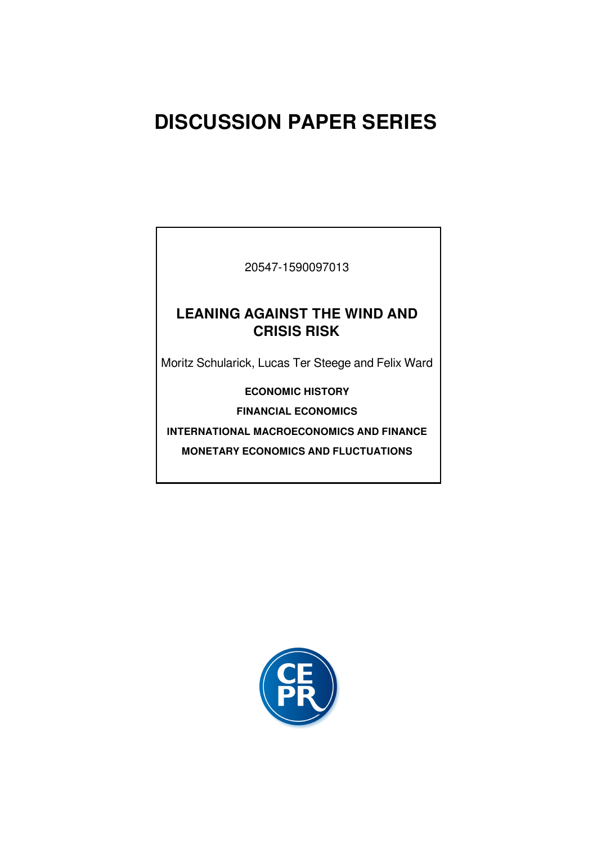## **DISCUSSION PAPER SERIES**

20547-1590097013

### **LEANING AGAINST THE WIND AND CRISIS RISK**

Moritz Schularick, Lucas Ter Steege and Felix Ward

**ECONOMIC HISTORY**

**FINANCIAL ECONOMICS**

**INTERNATIONAL MACROECONOMICS AND FINANCE**

**MONETARY ECONOMICS AND FLUCTUATIONS**

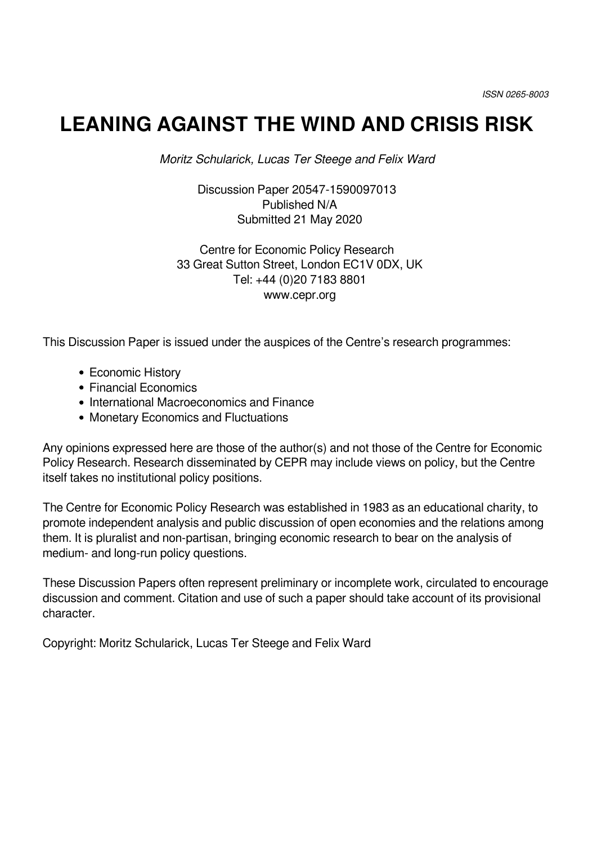## **LEANING AGAINST THE WIND AND CRISIS RISK**

*Moritz Schularick, Lucas Ter Steege and Felix Ward*

Discussion Paper 20547-1590097013 Published N/A Submitted 21 May 2020

Centre for Economic Policy Research 33 Great Sutton Street, London EC1V 0DX, UK Tel: +44 (0)20 7183 8801 www.cepr.org

This Discussion Paper is issued under the auspices of the Centre's research programmes:

- Economic History
- Financial Economics
- International Macroeconomics and Finance
- Monetary Economics and Fluctuations

Any opinions expressed here are those of the author(s) and not those of the Centre for Economic Policy Research. Research disseminated by CEPR may include views on policy, but the Centre itself takes no institutional policy positions.

The Centre for Economic Policy Research was established in 1983 as an educational charity, to promote independent analysis and public discussion of open economies and the relations among them. It is pluralist and non-partisan, bringing economic research to bear on the analysis of medium- and long-run policy questions.

These Discussion Papers often represent preliminary or incomplete work, circulated to encourage discussion and comment. Citation and use of such a paper should take account of its provisional character.

Copyright: Moritz Schularick, Lucas Ter Steege and Felix Ward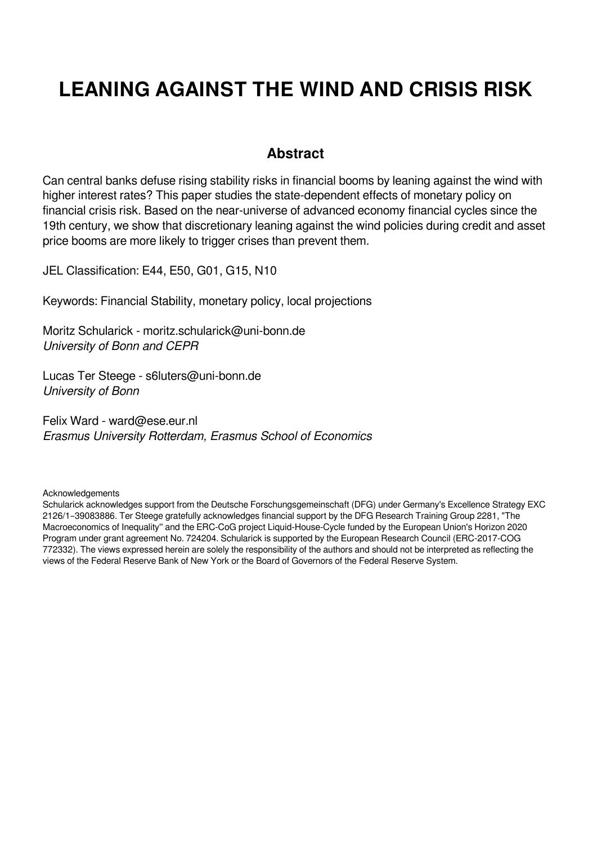# **LEANING AGAINST THE WIND AND CRISIS RISK**

### **Abstract**

Can central banks defuse rising stability risks in financial booms by leaning against the wind with higher interest rates? This paper studies the state-dependent effects of monetary policy on financial crisis risk. Based on the near-universe of advanced economy financial cycles since the 19th century, we show that discretionary leaning against the wind policies during credit and asset price booms are more likely to trigger crises than prevent them.

JEL Classification: E44, E50, G01, G15, N10

Keywords: Financial Stability, monetary policy, local projections

Moritz Schularick - moritz.schularick@uni-bonn.de *University of Bonn and CEPR*

Lucas Ter Steege - s6luters@uni-bonn.de *University of Bonn*

Felix Ward - ward@ese.eur.nl *Erasmus University Rotterdam, Erasmus School of Economics*

**Acknowledgements** 

Schularick acknowledges support from the Deutsche Forschungsgemeinschaft (DFG) under Germany's Excellence Strategy EXC 2126/1–39083886. Ter Steege gratefully acknowledges financial support by the DFG Research Training Group 2281, "The Macroeconomics of Inequality'' and the ERC-CoG project Liquid-House-Cycle funded by the European Union's Horizon 2020 Program under grant agreement No. 724204. Schularick is supported by the European Research Council (ERC-2017-COG 772332). The views expressed herein are solely the responsibility of the authors and should not be interpreted as reflecting the views of the Federal Reserve Bank of New York or the Board of Governors of the Federal Reserve System.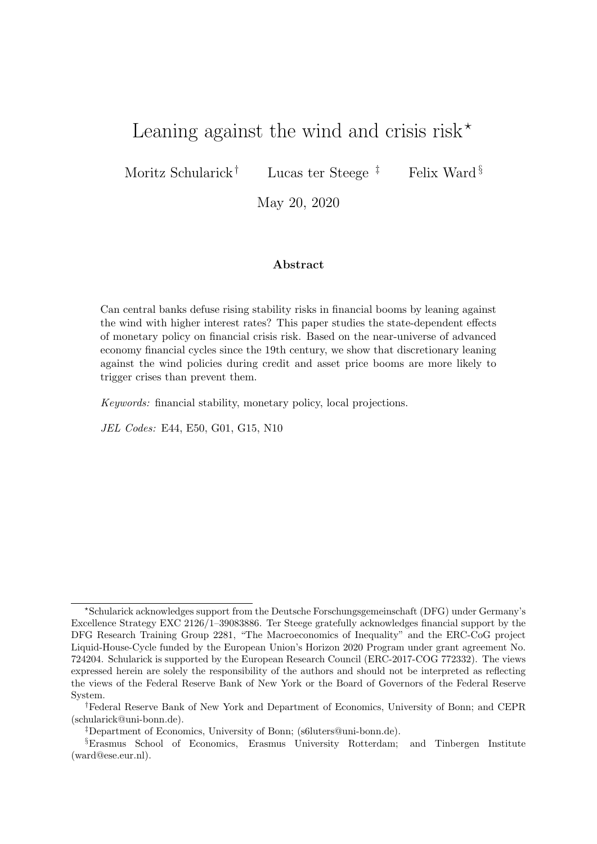### Leaning against the wind and crisis risk<sup>\*</sup>

Moritz Schularick<sup>†</sup> Lucas ter Steege<sup>‡</sup> Felix Ward <sup>§</sup>

May 20, 2020

#### Abstract

Can central banks defuse rising stability risks in financial booms by leaning against the wind with higher interest rates? This paper studies the state-dependent effects of monetary policy on financial crisis risk. Based on the near-universe of advanced economy financial cycles since the 19th century, we show that discretionary leaning against the wind policies during credit and asset price booms are more likely to trigger crises than prevent them.

Keywords: financial stability, monetary policy, local projections.

JEL Codes: E44, E50, G01, G15, N10

<sup>?</sup>Schularick acknowledges support from the Deutsche Forschungsgemeinschaft (DFG) under Germany's Excellence Strategy EXC 2126/1–39083886. Ter Steege gratefully acknowledges financial support by the DFG Research Training Group 2281, "The Macroeconomics of Inequality" and the ERC-CoG project Liquid-House-Cycle funded by the European Union's Horizon 2020 Program under grant agreement No. 724204. Schularick is supported by the European Research Council (ERC-2017-COG 772332). The views expressed herein are solely the responsibility of the authors and should not be interpreted as reflecting the views of the Federal Reserve Bank of New York or the Board of Governors of the Federal Reserve System.

<sup>†</sup>Federal Reserve Bank of New York and Department of Economics, University of Bonn; and CEPR (schularick@uni-bonn.de).

<sup>‡</sup>Department of Economics, University of Bonn; (s6luters@uni-bonn.de).

<sup>§</sup>Erasmus School of Economics, Erasmus University Rotterdam; and Tinbergen Institute (ward@ese.eur.nl).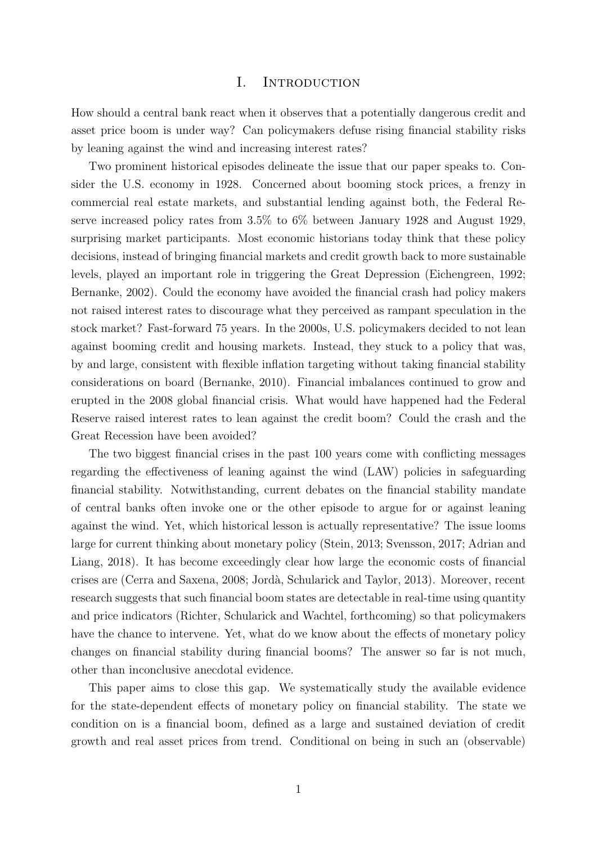#### I. INTRODUCTION

How should a central bank react when it observes that a potentially dangerous credit and asset price boom is under way? Can policymakers defuse rising financial stability risks by leaning against the wind and increasing interest rates?

Two prominent historical episodes delineate the issue that our paper speaks to. Consider the U.S. economy in 1928. Concerned about booming stock prices, a frenzy in commercial real estate markets, and substantial lending against both, the Federal Reserve increased policy rates from 3.5% to 6% between January 1928 and August 1929, surprising market participants. Most economic historians today think that these policy decisions, instead of bringing financial markets and credit growth back to more sustainable levels, played an important role in triggering the Great Depression (Eichengreen, 1992; Bernanke, 2002). Could the economy have avoided the financial crash had policy makers not raised interest rates to discourage what they perceived as rampant speculation in the stock market? Fast-forward 75 years. In the 2000s, U.S. policymakers decided to not lean against booming credit and housing markets. Instead, they stuck to a policy that was, by and large, consistent with flexible inflation targeting without taking financial stability considerations on board (Bernanke, 2010). Financial imbalances continued to grow and erupted in the 2008 global financial crisis. What would have happened had the Federal Reserve raised interest rates to lean against the credit boom? Could the crash and the Great Recession have been avoided?

The two biggest financial crises in the past 100 years come with conflicting messages regarding the effectiveness of leaning against the wind (LAW) policies in safeguarding financial stability. Notwithstanding, current debates on the financial stability mandate of central banks often invoke one or the other episode to argue for or against leaning against the wind. Yet, which historical lesson is actually representative? The issue looms large for current thinking about monetary policy (Stein, 2013; Svensson, 2017; Adrian and Liang, 2018). It has become exceedingly clear how large the economic costs of financial crises are (Cerra and Saxena, 2008; Jord`a, Schularick and Taylor, 2013). Moreover, recent research suggests that such financial boom states are detectable in real-time using quantity and price indicators (Richter, Schularick and Wachtel, forthcoming) so that policymakers have the chance to intervene. Yet, what do we know about the effects of monetary policy changes on financial stability during financial booms? The answer so far is not much, other than inconclusive anecdotal evidence.

This paper aims to close this gap. We systematically study the available evidence for the state-dependent effects of monetary policy on financial stability. The state we condition on is a financial boom, defined as a large and sustained deviation of credit growth and real asset prices from trend. Conditional on being in such an (observable)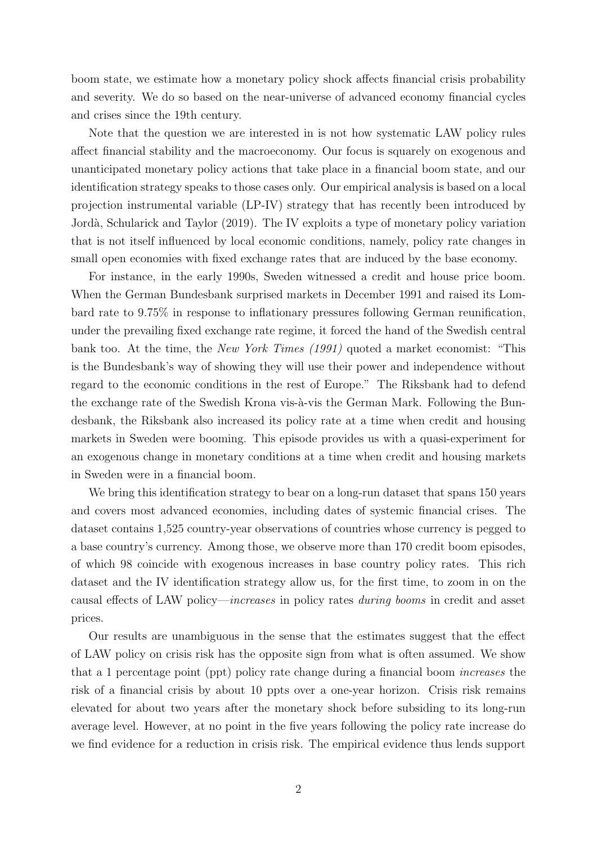boom state, we estimate how a monetary policy shock affects financial crisis probability and severity. We do so based on the near-universe of advanced economy financial cycles and crises since the 19th century.

Note that the question we are interested in is not how systematic LAW policy rules affect financial stability and the macroeconomy. Our focus is squarely on exogenous and unanticipated monetary policy actions that take place in a financial boom state, and our identification strategy speaks to those cases only. Our empirical analysis is based on a local projection instrumental variable (LP-IV) strategy that has recently been introduced by Jordà, Schularick and Taylor (2019). The IV exploits a type of monetary policy variation that is not itself influenced by local economic conditions, namely, policy rate changes in small open economies with fixed exchange rates that are induced by the base economy.

For instance, in the early 1990s, Sweden witnessed a credit and house price boom. When the German Bundesbank surprised markets in December 1991 and raised its Lombard rate to 9.75% in response to inflationary pressures following German reunification, under the prevailing fixed exchange rate regime, it forced the hand of the Swedish central bank too. At the time, the *New York Times (1991)* quoted a market economist: "This is the Bundesbank's way of showing they will use their power and independence without regard to the economic conditions in the rest of Europe." The Riksbank had to defend the exchange rate of the Swedish Krona vis-à-vis the German Mark. Following the Bundesbank, the Riksbank also increased its policy rate at a time when credit and housing markets in Sweden were booming. This episode provides us with a quasi-experiment for an exogenous change in monetary conditions at a time when credit and housing markets in Sweden were in a financial boom.

We bring this identification strategy to bear on a long-run dataset that spans 150 years and covers most advanced economies, including dates of systemic financial crises. The dataset contains 1,525 country-year observations of countries whose currency is pegged to a base country's currency. Among those, we observe more than 170 credit boom episodes, of which 98 coincide with exogenous increases in base country policy rates. This rich dataset and the IV identification strategy allow us, for the first time, to zoom in on the causal effects of LAW policy—increases in policy rates during booms in credit and asset prices.

Our results are unambiguous in the sense that the estimates suggest that the effect of LAW policy on crisis risk has the opposite sign from what is often assumed. We show that a 1 percentage point (ppt) policy rate change during a financial boom increases the risk of a financial crisis by about 10 ppts over a one-year horizon. Crisis risk remains elevated for about two years after the monetary shock before subsiding to its long-run average level. However, at no point in the five years following the policy rate increase do we find evidence for a reduction in crisis risk. The empirical evidence thus lends support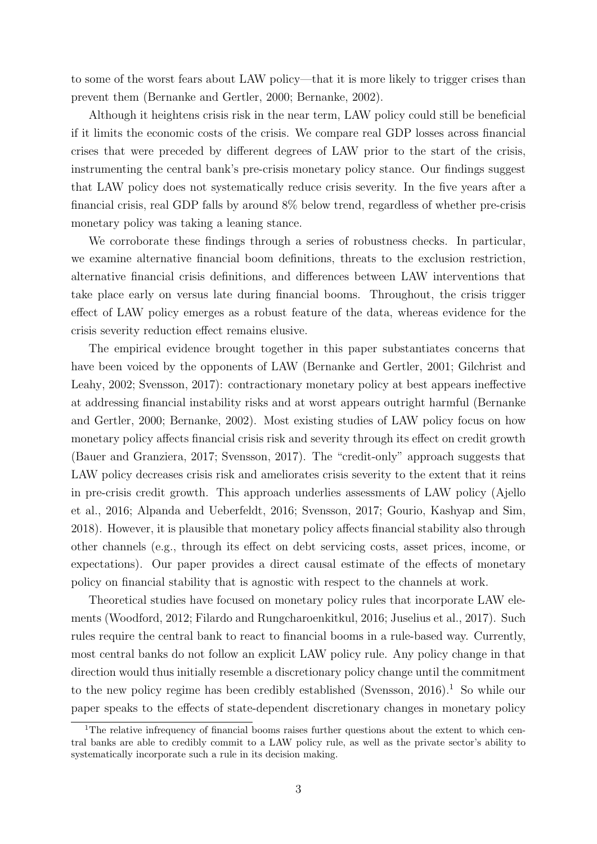to some of the worst fears about LAW policy—that it is more likely to trigger crises than prevent them (Bernanke and Gertler, 2000; Bernanke, 2002).

Although it heightens crisis risk in the near term, LAW policy could still be beneficial if it limits the economic costs of the crisis. We compare real GDP losses across financial crises that were preceded by different degrees of LAW prior to the start of the crisis, instrumenting the central bank's pre-crisis monetary policy stance. Our findings suggest that LAW policy does not systematically reduce crisis severity. In the five years after a financial crisis, real GDP falls by around 8% below trend, regardless of whether pre-crisis monetary policy was taking a leaning stance.

We corroborate these findings through a series of robustness checks. In particular, we examine alternative financial boom definitions, threats to the exclusion restriction, alternative financial crisis definitions, and differences between LAW interventions that take place early on versus late during financial booms. Throughout, the crisis trigger effect of LAW policy emerges as a robust feature of the data, whereas evidence for the crisis severity reduction effect remains elusive.

The empirical evidence brought together in this paper substantiates concerns that have been voiced by the opponents of LAW (Bernanke and Gertler, 2001; Gilchrist and Leahy, 2002; Svensson, 2017): contractionary monetary policy at best appears ineffective at addressing financial instability risks and at worst appears outright harmful (Bernanke and Gertler, 2000; Bernanke, 2002). Most existing studies of LAW policy focus on how monetary policy affects financial crisis risk and severity through its effect on credit growth (Bauer and Granziera, 2017; Svensson, 2017). The "credit-only" approach suggests that LAW policy decreases crisis risk and ameliorates crisis severity to the extent that it reins in pre-crisis credit growth. This approach underlies assessments of LAW policy (Ajello et al., 2016; Alpanda and Ueberfeldt, 2016; Svensson, 2017; Gourio, Kashyap and Sim, 2018). However, it is plausible that monetary policy affects financial stability also through other channels (e.g., through its effect on debt servicing costs, asset prices, income, or expectations). Our paper provides a direct causal estimate of the effects of monetary policy on financial stability that is agnostic with respect to the channels at work.

Theoretical studies have focused on monetary policy rules that incorporate LAW elements (Woodford, 2012; Filardo and Rungcharoenkitkul, 2016; Juselius et al., 2017). Such rules require the central bank to react to financial booms in a rule-based way. Currently, most central banks do not follow an explicit LAW policy rule. Any policy change in that direction would thus initially resemble a discretionary policy change until the commitment to the new policy regime has been credibly established (Svensson,  $2016$ ).<sup>1</sup> So while our paper speaks to the effects of state-dependent discretionary changes in monetary policy

<sup>&</sup>lt;sup>1</sup>The relative infrequency of financial booms raises further questions about the extent to which central banks are able to credibly commit to a LAW policy rule, as well as the private sector's ability to systematically incorporate such a rule in its decision making.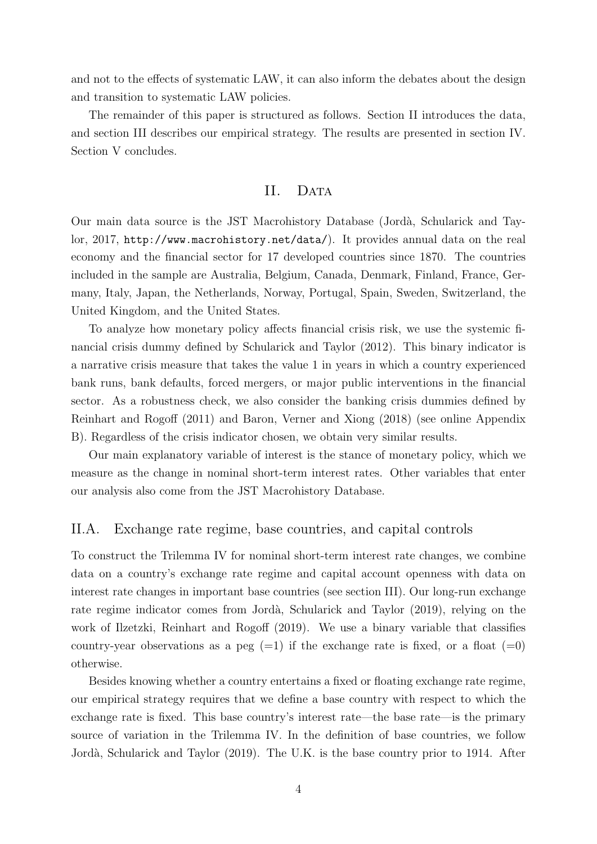and not to the effects of systematic LAW, it can also inform the debates about the design and transition to systematic LAW policies.

The remainder of this paper is structured as follows. Section II introduces the data, and section III describes our empirical strategy. The results are presented in section IV. Section V concludes.

#### II. DATA

Our main data source is the JST Macrohistory Database (Jord`a, Schularick and Taylor, 2017, http://www.macrohistory.net/data/). It provides annual data on the real economy and the financial sector for 17 developed countries since 1870. The countries included in the sample are Australia, Belgium, Canada, Denmark, Finland, France, Germany, Italy, Japan, the Netherlands, Norway, Portugal, Spain, Sweden, Switzerland, the United Kingdom, and the United States.

To analyze how monetary policy affects financial crisis risk, we use the systemic financial crisis dummy defined by Schularick and Taylor (2012). This binary indicator is a narrative crisis measure that takes the value 1 in years in which a country experienced bank runs, bank defaults, forced mergers, or major public interventions in the financial sector. As a robustness check, we also consider the banking crisis dummies defined by Reinhart and Rogoff (2011) and Baron, Verner and Xiong (2018) (see online Appendix B). Regardless of the crisis indicator chosen, we obtain very similar results.

Our main explanatory variable of interest is the stance of monetary policy, which we measure as the change in nominal short-term interest rates. Other variables that enter our analysis also come from the JST Macrohistory Database.

#### II.A. Exchange rate regime, base countries, and capital controls

To construct the Trilemma IV for nominal short-term interest rate changes, we combine data on a country's exchange rate regime and capital account openness with data on interest rate changes in important base countries (see section III). Our long-run exchange rate regime indicator comes from Jordà, Schularick and Taylor (2019), relying on the work of Ilzetzki, Reinhart and Rogoff (2019). We use a binary variable that classifies country-year observations as a peg  $(=1)$  if the exchange rate is fixed, or a float  $(=0)$ otherwise.

Besides knowing whether a country entertains a fixed or floating exchange rate regime, our empirical strategy requires that we define a base country with respect to which the exchange rate is fixed. This base country's interest rate—the base rate—is the primary source of variation in the Trilemma IV. In the definition of base countries, we follow Jordà, Schularick and Taylor (2019). The U.K. is the base country prior to 1914. After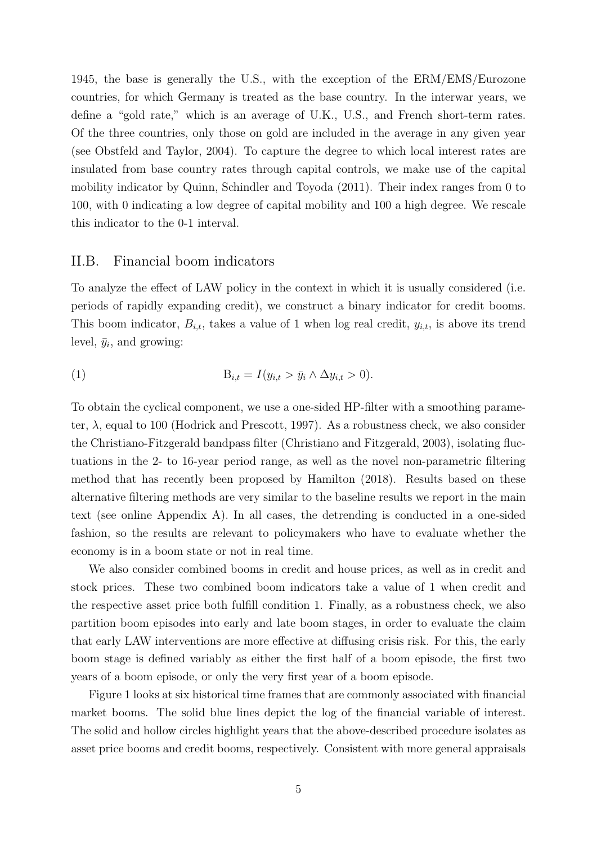1945, the base is generally the U.S., with the exception of the ERM/EMS/Eurozone countries, for which Germany is treated as the base country. In the interwar years, we define a "gold rate," which is an average of U.K., U.S., and French short-term rates. Of the three countries, only those on gold are included in the average in any given year (see Obstfeld and Taylor, 2004). To capture the degree to which local interest rates are insulated from base country rates through capital controls, we make use of the capital mobility indicator by Quinn, Schindler and Toyoda (2011). Their index ranges from 0 to 100, with 0 indicating a low degree of capital mobility and 100 a high degree. We rescale this indicator to the 0-1 interval.

#### II.B. Financial boom indicators

To analyze the effect of LAW policy in the context in which it is usually considered (i.e. periods of rapidly expanding credit), we construct a binary indicator for credit booms. This boom indicator,  $B_{i,t}$ , takes a value of 1 when log real credit,  $y_{i,t}$ , is above its trend level,  $\bar{y}_i$ , and growing:

$$
\text{(1)} \quad \mathbf{B}_{i,t} = I(y_{i,t} > \bar{y}_i \land \Delta y_{i,t} > 0).
$$

To obtain the cyclical component, we use a one-sided HP-filter with a smoothing parameter,  $\lambda$ , equal to 100 (Hodrick and Prescott, 1997). As a robustness check, we also consider the Christiano-Fitzgerald bandpass filter (Christiano and Fitzgerald, 2003), isolating fluctuations in the 2- to 16-year period range, as well as the novel non-parametric filtering method that has recently been proposed by Hamilton (2018). Results based on these alternative filtering methods are very similar to the baseline results we report in the main text (see online Appendix A). In all cases, the detrending is conducted in a one-sided fashion, so the results are relevant to policymakers who have to evaluate whether the economy is in a boom state or not in real time.

We also consider combined booms in credit and house prices, as well as in credit and stock prices. These two combined boom indicators take a value of 1 when credit and the respective asset price both fulfill condition 1. Finally, as a robustness check, we also partition boom episodes into early and late boom stages, in order to evaluate the claim that early LAW interventions are more effective at diffusing crisis risk. For this, the early boom stage is defined variably as either the first half of a boom episode, the first two years of a boom episode, or only the very first year of a boom episode.

Figure 1 looks at six historical time frames that are commonly associated with financial market booms. The solid blue lines depict the log of the financial variable of interest. The solid and hollow circles highlight years that the above-described procedure isolates as asset price booms and credit booms, respectively. Consistent with more general appraisals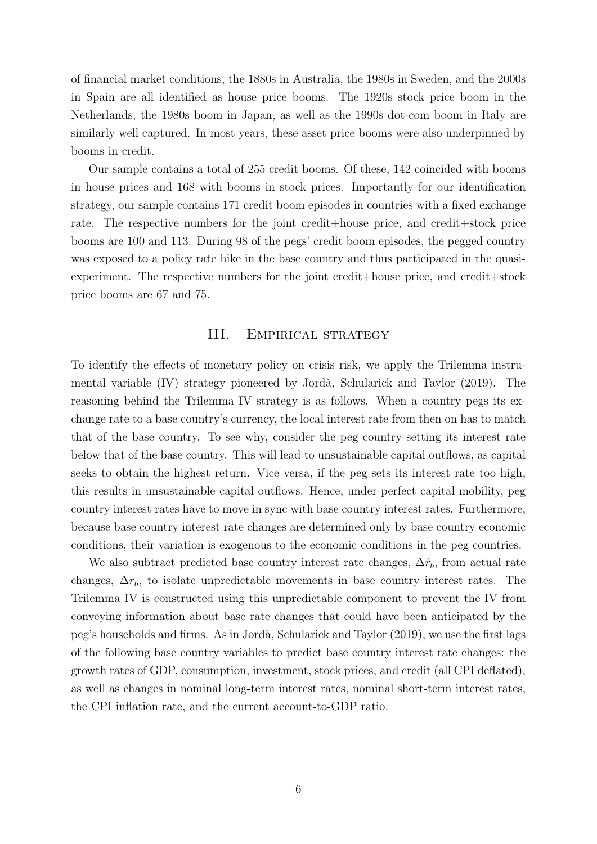of financial market conditions, the 1880s in Australia, the 1980s in Sweden, and the 2000s in Spain are all identified as house price booms. The 1920s stock price boom in the Netherlands, the 1980s boom in Japan, as well as the 1990s dot-com boom in Italy are similarly well captured. In most years, these asset price booms were also underpinned by booms in credit.

Our sample contains a total of 255 credit booms. Of these, 142 coincided with booms in house prices and 168 with booms in stock prices. Importantly for our identification strategy, our sample contains 171 credit boom episodes in countries with a fixed exchange rate. The respective numbers for the joint credit+house price, and credit+stock price booms are 100 and 113. During 98 of the pegs' credit boom episodes, the pegged country was exposed to a policy rate hike in the base country and thus participated in the quasiexperiment. The respective numbers for the joint credit+house price, and credit+stock price booms are 67 and 75.

#### III. EMPIRICAL STRATEGY

To identify the effects of monetary policy on crisis risk, we apply the Trilemma instrumental variable (IV) strategy pioneered by Jordà, Schularick and Taylor (2019). The reasoning behind the Trilemma IV strategy is as follows. When a country pegs its exchange rate to a base country's currency, the local interest rate from then on has to match that of the base country. To see why, consider the peg country setting its interest rate below that of the base country. This will lead to unsustainable capital outflows, as capital seeks to obtain the highest return. Vice versa, if the peg sets its interest rate too high, this results in unsustainable capital outflows. Hence, under perfect capital mobility, peg country interest rates have to move in sync with base country interest rates. Furthermore, because base country interest rate changes are determined only by base country economic conditions, their variation is exogenous to the economic conditions in the peg countries.

We also subtract predicted base country interest rate changes,  $\Delta \hat{r}_b$ , from actual rate changes,  $\Delta r_b$ , to isolate unpredictable movements in base country interest rates. The Trilemma IV is constructed using this unpredictable component to prevent the IV from conveying information about base rate changes that could have been anticipated by the peg's households and firms. As in Jord`a, Schularick and Taylor (2019), we use the first lags of the following base country variables to predict base country interest rate changes: the growth rates of GDP, consumption, investment, stock prices, and credit (all CPI deflated), as well as changes in nominal long-term interest rates, nominal short-term interest rates, the CPI inflation rate, and the current account-to-GDP ratio.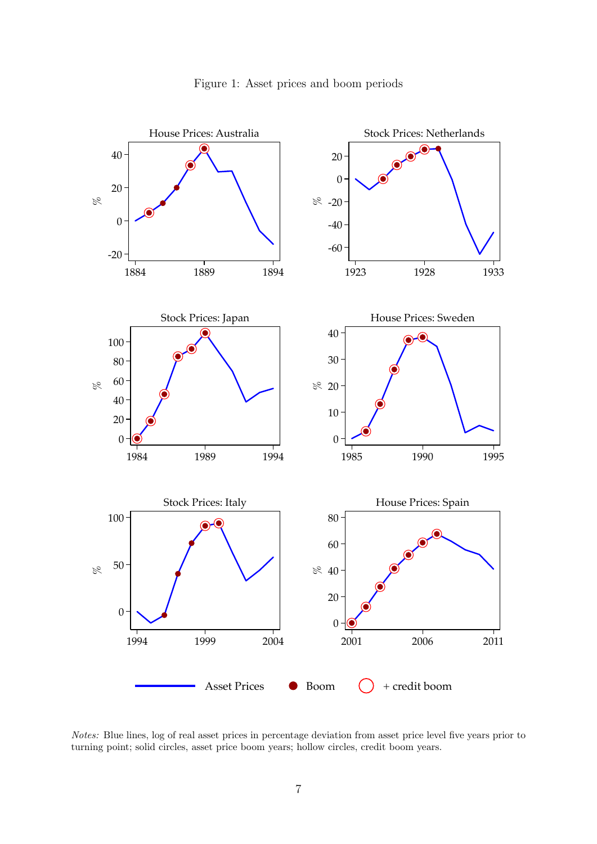

Figure 1: Asset prices and boom periods

Notes: Blue lines, log of real asset prices in percentage deviation from asset price level five years prior to turning point; solid circles, asset price boom years; hollow circles, credit boom years.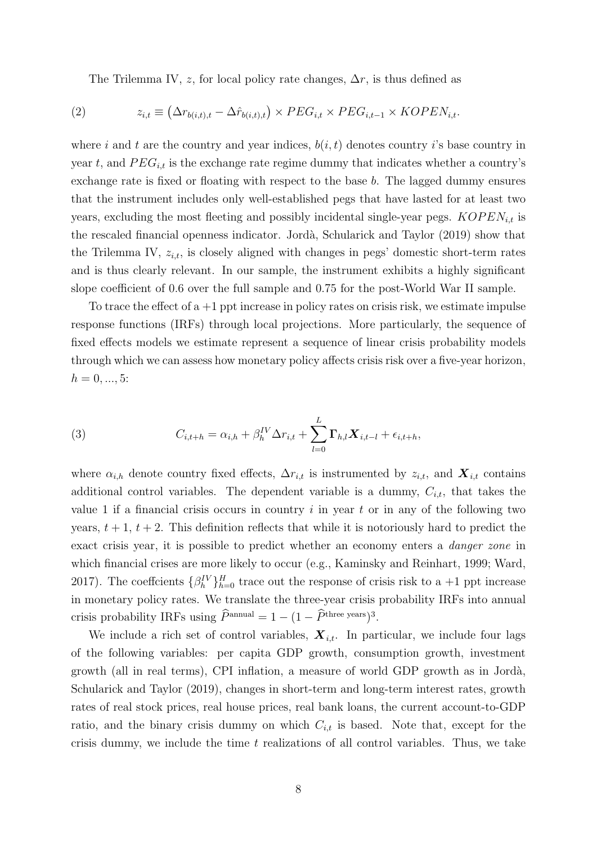The Trilemma IV, z, for local policy rate changes,  $\Delta r$ , is thus defined as

(2) 
$$
z_{i,t} \equiv (\Delta r_{b(i,t),t} - \Delta \hat{r}_{b(i,t),t}) \times PEG_{i,t} \times PEG_{i,t-1} \times KOPEN_{i,t}.
$$

where i and t are the country and year indices,  $b(i, t)$  denotes country is base country in year t, and  $PEG_{i,t}$  is the exchange rate regime dummy that indicates whether a country's exchange rate is fixed or floating with respect to the base b. The lagged dummy ensures that the instrument includes only well-established pegs that have lasted for at least two years, excluding the most fleeting and possibly incidental single-year pegs.  $KOPEN_{i,t}$  is the rescaled financial openness indicator. Jord`a, Schularick and Taylor (2019) show that the Trilemma IV,  $z_{i,t}$ , is closely aligned with changes in pegs' domestic short-term rates and is thus clearly relevant. In our sample, the instrument exhibits a highly significant slope coefficient of 0.6 over the full sample and 0.75 for the post-World War II sample.

To trace the effect of  $a + 1$  ppt increase in policy rates on crisis risk, we estimate impulse response functions (IRFs) through local projections. More particularly, the sequence of fixed effects models we estimate represent a sequence of linear crisis probability models through which we can assess how monetary policy affects crisis risk over a five-year horizon,  $h = 0, ..., 5:$ 

(3) 
$$
C_{i,t+h} = \alpha_{i,h} + \beta_h^{IV} \Delta r_{i,t} + \sum_{l=0}^{L} \Gamma_{h,l} \mathbf{X}_{i,t-l} + \epsilon_{i,t+h},
$$

where  $\alpha_{i,h}$  denote country fixed effects,  $\Delta r_{i,t}$  is instrumented by  $z_{i,t}$ , and  $\mathbf{X}_{i,t}$  contains additional control variables. The dependent variable is a dummy,  $C_{i,t}$ , that takes the value 1 if a financial crisis occurs in country  $i$  in year  $t$  or in any of the following two years,  $t + 1$ ,  $t + 2$ . This definition reflects that while it is notoriously hard to predict the exact crisis year, it is possible to predict whether an economy enters a danger zone in which financial crises are more likely to occur (e.g., Kaminsky and Reinhart, 1999; Ward, 2017). The coefficients  $\{\beta_k^{\{V\}}\}_{h=0}^H$  trace out the response of crisis risk to a +1 ppt increase in monetary policy rates. We translate the three-year crisis probability IRFs into annual crisis probability IRFs using  $\widehat{P}^{\text{annual}} = 1 - (1 - \widehat{P}^{\text{three years}})^3$ .

We include a rich set of control variables,  $\mathbf{X}_{it}$ . In particular, we include four lags of the following variables: per capita GDP growth, consumption growth, investment growth (all in real terms), CPI inflation, a measure of world GDP growth as in Jord`a, Schularick and Taylor (2019), changes in short-term and long-term interest rates, growth rates of real stock prices, real house prices, real bank loans, the current account-to-GDP ratio, and the binary crisis dummy on which  $C_{i,t}$  is based. Note that, except for the crisis dummy, we include the time  $t$  realizations of all control variables. Thus, we take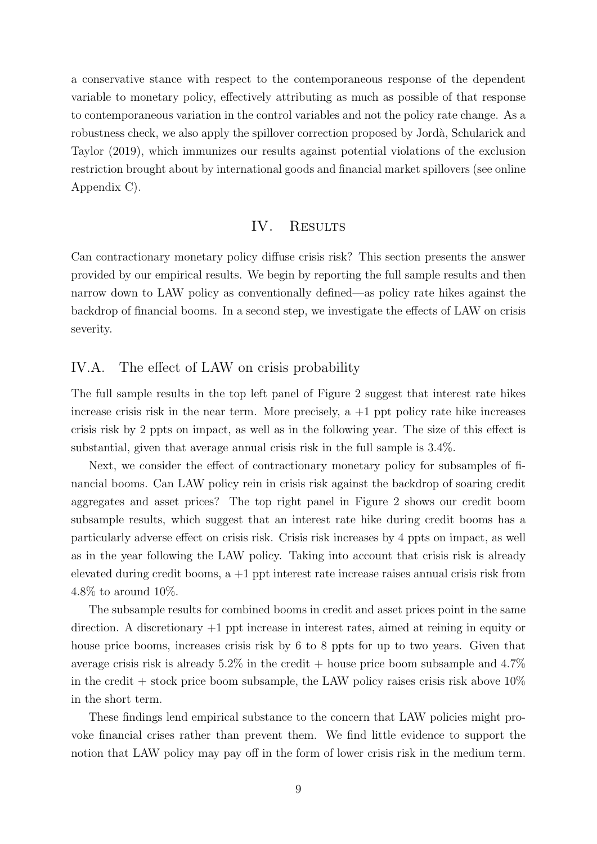a conservative stance with respect to the contemporaneous response of the dependent variable to monetary policy, effectively attributing as much as possible of that response to contemporaneous variation in the control variables and not the policy rate change. As a robustness check, we also apply the spillover correction proposed by Jordà, Schularick and Taylor (2019), which immunizes our results against potential violations of the exclusion restriction brought about by international goods and financial market spillovers (see online Appendix C).

#### IV. RESULTS

Can contractionary monetary policy diffuse crisis risk? This section presents the answer provided by our empirical results. We begin by reporting the full sample results and then narrow down to LAW policy as conventionally defined—as policy rate hikes against the backdrop of financial booms. In a second step, we investigate the effects of LAW on crisis severity.

#### IV.A. The effect of LAW on crisis probability

The full sample results in the top left panel of Figure 2 suggest that interest rate hikes increase crisis risk in the near term. More precisely,  $a + 1$  ppt policy rate hike increases crisis risk by 2 ppts on impact, as well as in the following year. The size of this effect is substantial, given that average annual crisis risk in the full sample is 3.4%.

Next, we consider the effect of contractionary monetary policy for subsamples of financial booms. Can LAW policy rein in crisis risk against the backdrop of soaring credit aggregates and asset prices? The top right panel in Figure 2 shows our credit boom subsample results, which suggest that an interest rate hike during credit booms has a particularly adverse effect on crisis risk. Crisis risk increases by 4 ppts on impact, as well as in the year following the LAW policy. Taking into account that crisis risk is already elevated during credit booms,  $a +1$  ppt interest rate increase raises annual crisis risk from 4.8% to around 10%.

The subsample results for combined booms in credit and asset prices point in the same direction. A discretionary +1 ppt increase in interest rates, aimed at reining in equity or house price booms, increases crisis risk by 6 to 8 ppts for up to two years. Given that average crisis risk is already  $5.2\%$  in the credit + house price boom subsample and  $4.7\%$ in the credit  $+$  stock price boom subsample, the LAW policy raises crisis risk above 10% in the short term.

These findings lend empirical substance to the concern that LAW policies might provoke financial crises rather than prevent them. We find little evidence to support the notion that LAW policy may pay off in the form of lower crisis risk in the medium term.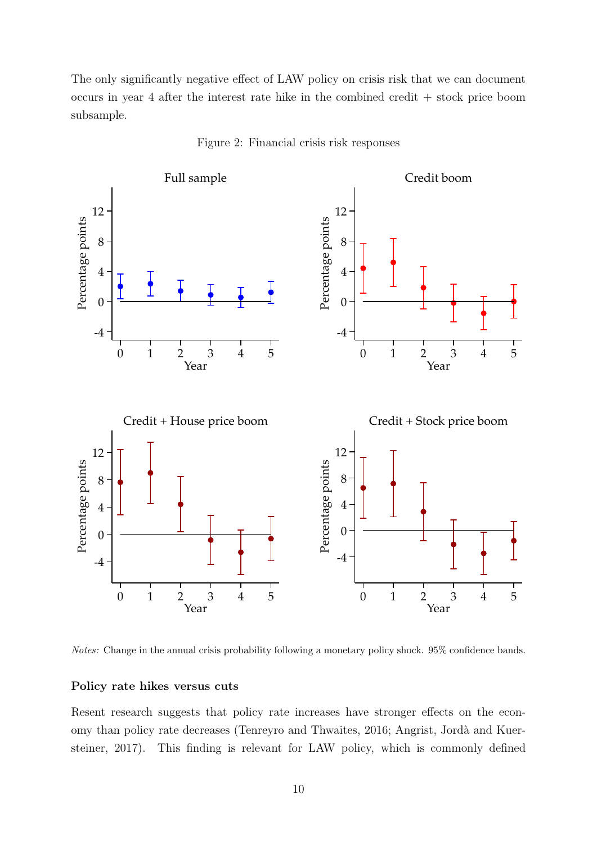The only significantly negative effect of LAW policy on crisis risk that we can document occurs in year 4 after the interest rate hike in the combined credit + stock price boom subsample.



Figure 2: Financial crisis risk responses

Notes: Change in the annual crisis probability following a monetary policy shock. 95% confidence bands.

#### Policy rate hikes versus cuts

Resent research suggests that policy rate increases have stronger effects on the economy than policy rate decreases (Tenreyro and Thwaites, 2016; Angrist, Jordà and Kuersteiner, 2017). This finding is relevant for LAW policy, which is commonly defined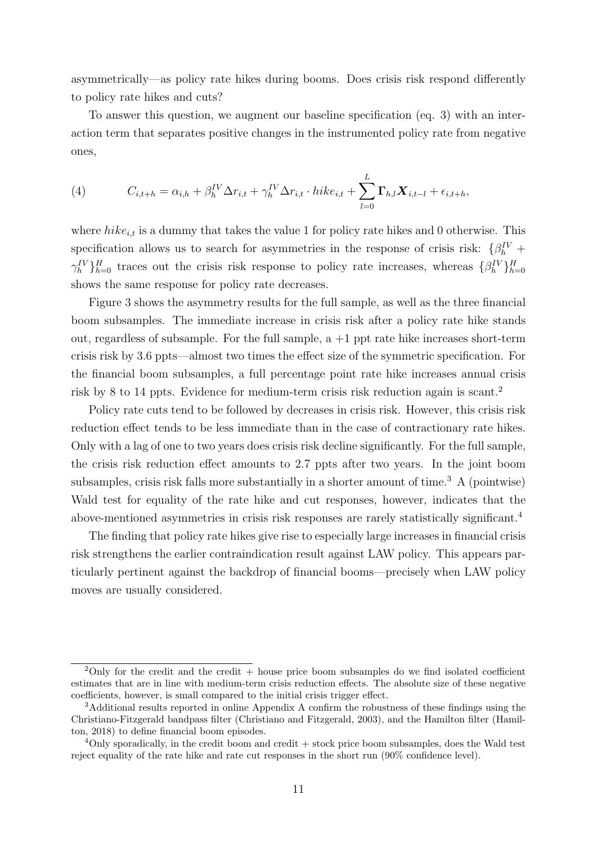asymmetrically—as policy rate hikes during booms. Does crisis risk respond differently to policy rate hikes and cuts?

To answer this question, we augment our baseline specification (eq. 3) with an interaction term that separates positive changes in the instrumented policy rate from negative ones,

(4) 
$$
C_{i,t+h} = \alpha_{i,h} + \beta_h^{IV} \Delta r_{i,t} + \gamma_h^{IV} \Delta r_{i,t} \cdot hike_{i,t} + \sum_{l=0}^{L} \mathbf{\Gamma}_{h,l} \mathbf{X}_{i,t-l} + \epsilon_{i,t+h},
$$

where  $hike_{i,t}$  is a dummy that takes the value 1 for policy rate hikes and 0 otherwise. This specification allows us to search for asymmetries in the response of crisis risk:  $\{\beta_h^{\{V\}}\}$  $\gamma_h^{\{V\}}\}_{h=0}^H$  traces out the crisis risk response to policy rate increases, whereas  $\{\beta_h^{\{V\}}\}_{h=0}^H$ shows the same response for policy rate decreases.

Figure 3 shows the asymmetry results for the full sample, as well as the three financial boom subsamples. The immediate increase in crisis risk after a policy rate hike stands out, regardless of subsample. For the full sample,  $a + 1$  ppt rate hike increases short-term crisis risk by 3.6 ppts—almost two times the effect size of the symmetric specification. For the financial boom subsamples, a full percentage point rate hike increases annual crisis risk by 8 to 14 ppts. Evidence for medium-term crisis risk reduction again is scant.<sup>2</sup>

Policy rate cuts tend to be followed by decreases in crisis risk. However, this crisis risk reduction effect tends to be less immediate than in the case of contractionary rate hikes. Only with a lag of one to two years does crisis risk decline significantly. For the full sample, the crisis risk reduction effect amounts to 2.7 ppts after two years. In the joint boom subsamples, crisis risk falls more substantially in a shorter amount of time.<sup>3</sup> A (pointwise) Wald test for equality of the rate hike and cut responses, however, indicates that the above-mentioned asymmetries in crisis risk responses are rarely statistically significant.<sup>4</sup>

The finding that policy rate hikes give rise to especially large increases in financial crisis risk strengthens the earlier contraindication result against LAW policy. This appears particularly pertinent against the backdrop of financial booms—precisely when LAW policy moves are usually considered.

<sup>&</sup>lt;sup>2</sup>Only for the credit and the credit + house price boom subsamples do we find isolated coefficient estimates that are in line with medium-term crisis reduction effects. The absolute size of these negative coefficients, however, is small compared to the initial crisis trigger effect.

<sup>3</sup>Additional results reported in online Appendix A confirm the robustness of these findings using the Christiano-Fitzgerald bandpass filter (Christiano and Fitzgerald, 2003), and the Hamilton filter (Hamilton, 2018) to define financial boom episodes.

 $4$ Only sporadically, in the credit boom and credit  $+$  stock price boom subsamples, does the Wald test reject equality of the rate hike and rate cut responses in the short run (90% confidence level).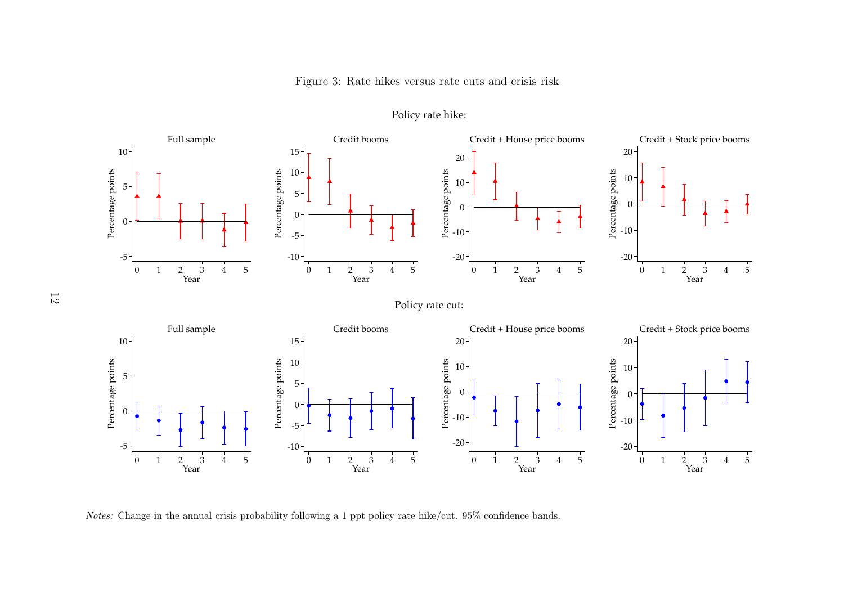Figure 3: Rate hikes versus rate cuts and crisis risk



Policy rate hike:

Notes: Change in the annual crisis probability following a 1 ppt policy rate hike/cut. 95% confidence bands.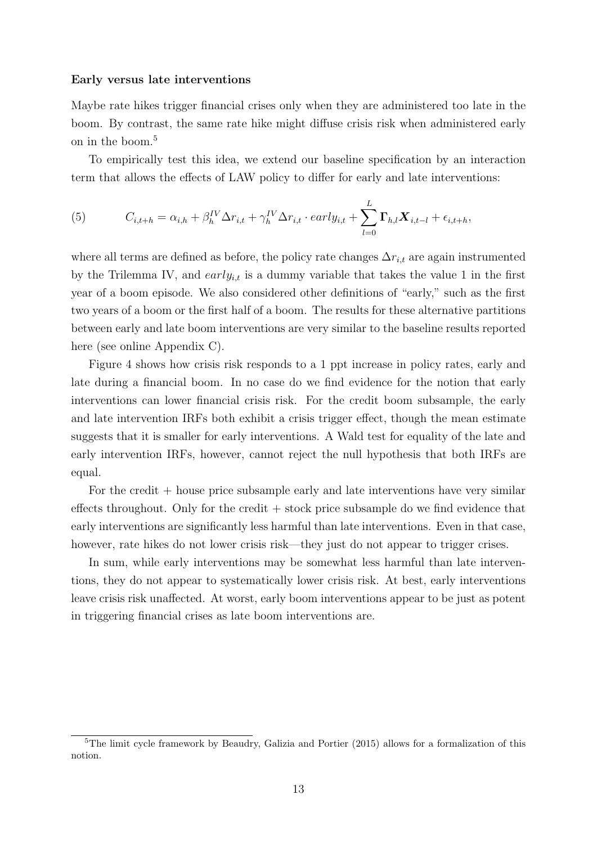#### Early versus late interventions

Maybe rate hikes trigger financial crises only when they are administered too late in the boom. By contrast, the same rate hike might diffuse crisis risk when administered early on in the boom.<sup>5</sup>

To empirically test this idea, we extend our baseline specification by an interaction term that allows the effects of LAW policy to differ for early and late interventions:

(5) 
$$
C_{i,t+h} = \alpha_{i,h} + \beta_h^{IV} \Delta r_{i,t} + \gamma_h^{IV} \Delta r_{i,t} \cdot early_{i,t} + \sum_{l=0}^{L} \Gamma_{h,l} \mathbf{X}_{i,t-l} + \epsilon_{i,t+h},
$$

where all terms are defined as before, the policy rate changes  $\Delta r_{i,t}$  are again instrumented by the Trilemma IV, and  $early_{i,t}$  is a dummy variable that takes the value 1 in the first year of a boom episode. We also considered other definitions of "early," such as the first two years of a boom or the first half of a boom. The results for these alternative partitions between early and late boom interventions are very similar to the baseline results reported here (see online Appendix C).

Figure 4 shows how crisis risk responds to a 1 ppt increase in policy rates, early and late during a financial boom. In no case do we find evidence for the notion that early interventions can lower financial crisis risk. For the credit boom subsample, the early and late intervention IRFs both exhibit a crisis trigger effect, though the mean estimate suggests that it is smaller for early interventions. A Wald test for equality of the late and early intervention IRFs, however, cannot reject the null hypothesis that both IRFs are equal.

For the credit + house price subsample early and late interventions have very similar effects throughout. Only for the credit  $+$  stock price subsample do we find evidence that early interventions are significantly less harmful than late interventions. Even in that case, however, rate hikes do not lower crisis risk—they just do not appear to trigger crises.

In sum, while early interventions may be somewhat less harmful than late interventions, they do not appear to systematically lower crisis risk. At best, early interventions leave crisis risk unaffected. At worst, early boom interventions appear to be just as potent in triggering financial crises as late boom interventions are.

<sup>&</sup>lt;sup>5</sup>The limit cycle framework by Beaudry, Galizia and Portier (2015) allows for a formalization of this notion.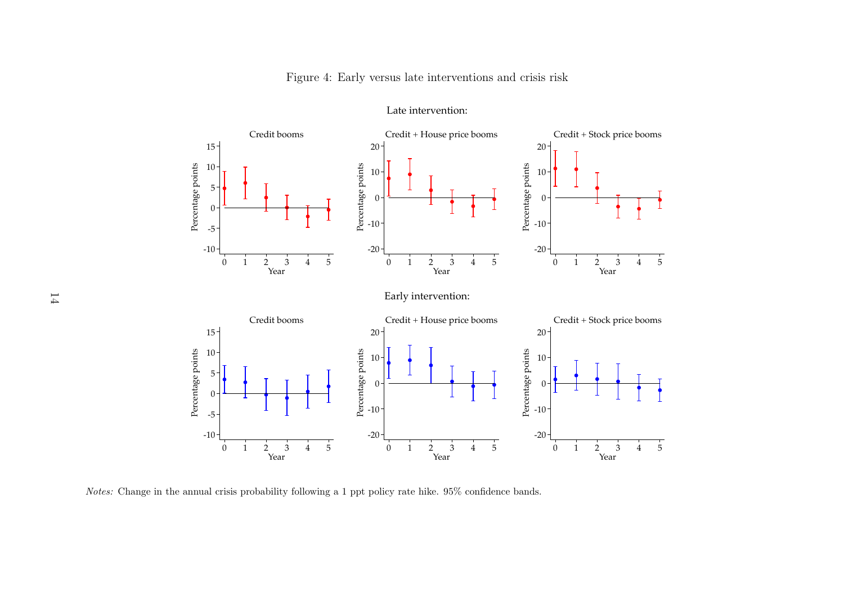Figure 4: Early versus late interventions and crisis risk



Late intervention:

Notes: Change in the annual crisis probability following a 1 ppt policy rate hike. 95% confidence bands.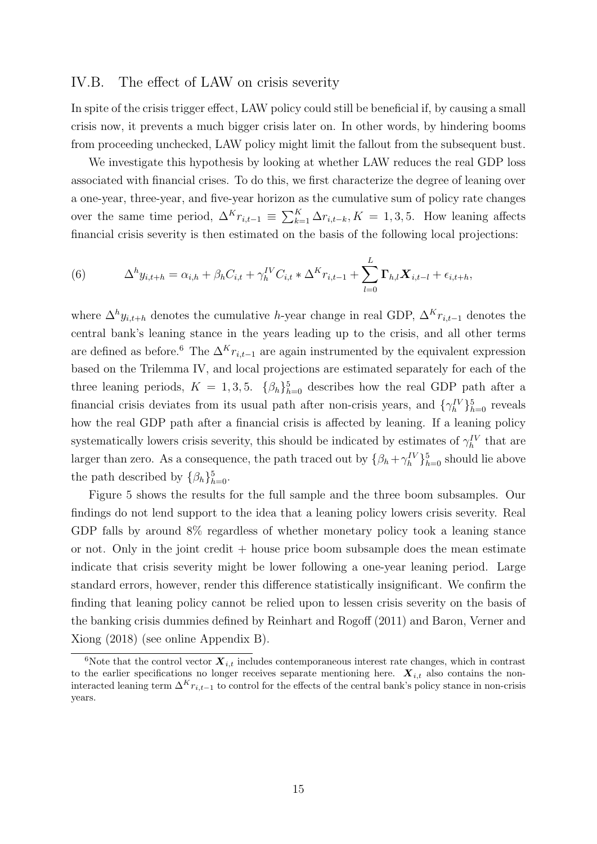#### IV.B. The effect of LAW on crisis severity

In spite of the crisis trigger effect, LAW policy could still be beneficial if, by causing a small crisis now, it prevents a much bigger crisis later on. In other words, by hindering booms from proceeding unchecked, LAW policy might limit the fallout from the subsequent bust.

We investigate this hypothesis by looking at whether LAW reduces the real GDP loss associated with financial crises. To do this, we first characterize the degree of leaning over a one-year, three-year, and five-year horizon as the cumulative sum of policy rate changes over the same time period,  $\Delta^K r_{i,t-1} \equiv \sum_{k=1}^K \Delta r_{i,t-k}, K = 1,3,5$ . How leaning affects financial crisis severity is then estimated on the basis of the following local projections:

(6) 
$$
\Delta^{h} y_{i,t+h} = \alpha_{i,h} + \beta_h C_{i,t} + \gamma_h^{IV} C_{i,t} * \Delta^{K} r_{i,t-1} + \sum_{l=0}^{L} \Gamma_{h,l} \mathbf{X}_{i,t-l} + \epsilon_{i,t+h},
$$

where  $\Delta^h y_{i,t+h}$  denotes the cumulative h-year change in real GDP,  $\Delta^K r_{i,t-1}$  denotes the central bank's leaning stance in the years leading up to the crisis, and all other terms are defined as before.<sup>6</sup> The  $\Delta^{K}r_{i,t-1}$  are again instrumented by the equivalent expression based on the Trilemma IV, and local projections are estimated separately for each of the three leaning periods,  $K = 1, 3, 5$ .  $\{\beta_h\}_{h=0}^5$  describes how the real GDP path after a financial crisis deviates from its usual path after non-crisis years, and  $\{\gamma_h^{\{V\}}\}_{h=0}^5$  reveals how the real GDP path after a financial crisis is affected by leaning. If a leaning policy systematically lowers crisis severity, this should be indicated by estimates of  $\gamma_h^{\{V\}}$  that are larger than zero. As a consequence, the path traced out by  $\{\beta_h + \gamma_h^{\{V\}}\}_{h=0}^5$  should lie above the path described by  $\{\beta_h\}_{h=0}^5$ .

Figure 5 shows the results for the full sample and the three boom subsamples. Our findings do not lend support to the idea that a leaning policy lowers crisis severity. Real GDP falls by around 8% regardless of whether monetary policy took a leaning stance or not. Only in the joint credit  $+$  house price boom subsample does the mean estimate indicate that crisis severity might be lower following a one-year leaning period. Large standard errors, however, render this difference statistically insignificant. We confirm the finding that leaning policy cannot be relied upon to lessen crisis severity on the basis of the banking crisis dummies defined by Reinhart and Rogoff (2011) and Baron, Verner and Xiong (2018) (see online Appendix B).

<sup>&</sup>lt;sup>6</sup>Note that the control vector  $\mathbf{X}_{i,t}$  includes contemporaneous interest rate changes, which in contrast to the earlier specifications no longer receives separate mentioning here.  $\boldsymbol{X}_{i,t}$  also contains the noninteracted leaning term  $\Delta^{K}r_{i,t-1}$  to control for the effects of the central bank's policy stance in non-crisis years.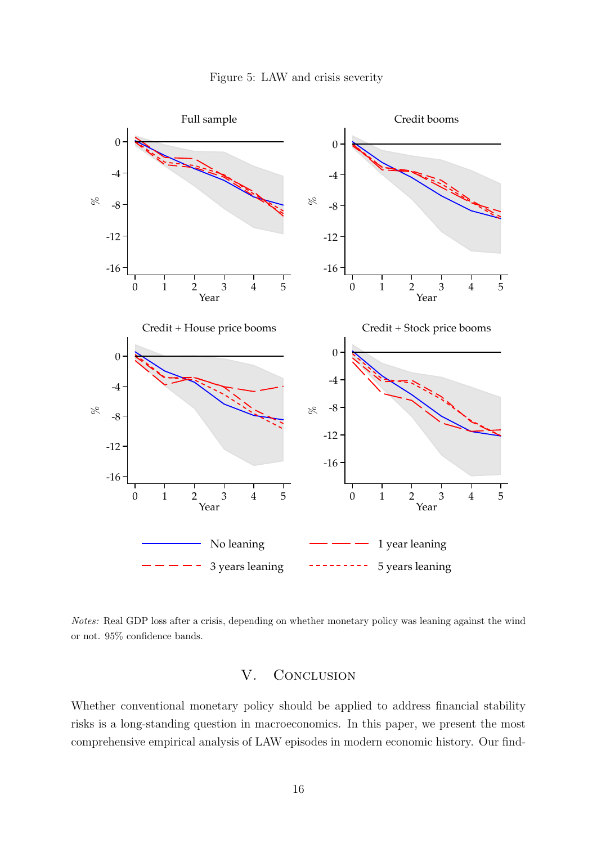![](_page_19_Figure_0.jpeg)

![](_page_19_Figure_1.jpeg)

Notes: Real GDP loss after a crisis, depending on whether monetary policy was leaning against the wind or not. 95% confidence bands.

#### V. CONCLUSION

Whether conventional monetary policy should be applied to address financial stability risks is a long-standing question in macroeconomics. In this paper, we present the most comprehensive empirical analysis of LAW episodes in modern economic history. Our find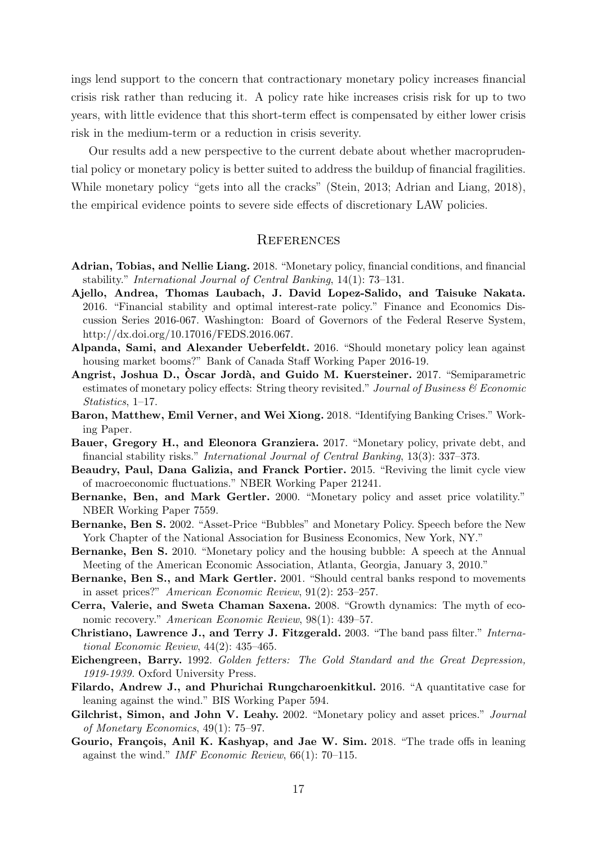ings lend support to the concern that contractionary monetary policy increases financial crisis risk rather than reducing it. A policy rate hike increases crisis risk for up to two years, with little evidence that this short-term effect is compensated by either lower crisis risk in the medium-term or a reduction in crisis severity.

Our results add a new perspective to the current debate about whether macroprudential policy or monetary policy is better suited to address the buildup of financial fragilities. While monetary policy "gets into all the cracks" (Stein, 2013; Adrian and Liang, 2018), the empirical evidence points to severe side effects of discretionary LAW policies.

#### **REFERENCES**

- Adrian, Tobias, and Nellie Liang. 2018. "Monetary policy, financial conditions, and financial stability." International Journal of Central Banking, 14(1): 73–131.
- Ajello, Andrea, Thomas Laubach, J. David Lopez-Salido, and Taisuke Nakata. 2016. "Financial stability and optimal interest-rate policy." Finance and Economics Discussion Series 2016-067. Washington: Board of Governors of the Federal Reserve System, http://dx.doi.org/10.17016/FEDS.2016.067.
- Alpanda, Sami, and Alexander Ueberfeldt. 2016. "Should monetary policy lean against housing market booms?" Bank of Canada Staff Working Paper 2016-19.
- Angrist, Joshua D., Oscar Jordà, and Guido M. Kuersteiner. 2017. "Semiparametric estimates of monetary policy effects: String theory revisited." Journal of Business  $\mathcal C$  Economic Statistics, 1–17.
- Baron, Matthew, Emil Verner, and Wei Xiong. 2018. "Identifying Banking Crises." Working Paper.
- Bauer, Gregory H., and Eleonora Granziera. 2017. "Monetary policy, private debt, and financial stability risks." International Journal of Central Banking, 13(3): 337–373.
- Beaudry, Paul, Dana Galizia, and Franck Portier. 2015. "Reviving the limit cycle view of macroeconomic fluctuations." NBER Working Paper 21241.
- Bernanke, Ben, and Mark Gertler. 2000. "Monetary policy and asset price volatility." NBER Working Paper 7559.
- Bernanke, Ben S. 2002. "Asset-Price "Bubbles" and Monetary Policy. Speech before the New York Chapter of the National Association for Business Economics, New York, NY."
- Bernanke, Ben S. 2010. "Monetary policy and the housing bubble: A speech at the Annual Meeting of the American Economic Association, Atlanta, Georgia, January 3, 2010."
- Bernanke, Ben S., and Mark Gertler. 2001. "Should central banks respond to movements in asset prices?" American Economic Review, 91(2): 253–257.
- Cerra, Valerie, and Sweta Chaman Saxena. 2008. "Growth dynamics: The myth of economic recovery." American Economic Review, 98(1): 439–57.
- Christiano, Lawrence J., and Terry J. Fitzgerald. 2003. "The band pass filter." International Economic Review, 44(2): 435–465.
- Eichengreen, Barry. 1992. Golden fetters: The Gold Standard and the Great Depression, 1919-1939. Oxford University Press.
- Filardo, Andrew J., and Phurichai Rungcharoenkitkul. 2016. "A quantitative case for leaning against the wind." BIS Working Paper 594.
- Gilchrist, Simon, and John V. Leahy. 2002. "Monetary policy and asset prices." Journal of Monetary Economics, 49(1): 75–97.
- Gourio, François, Anil K. Kashyap, and Jae W. Sim. 2018. "The trade offs in leaning against the wind." IMF Economic Review, 66(1): 70–115.